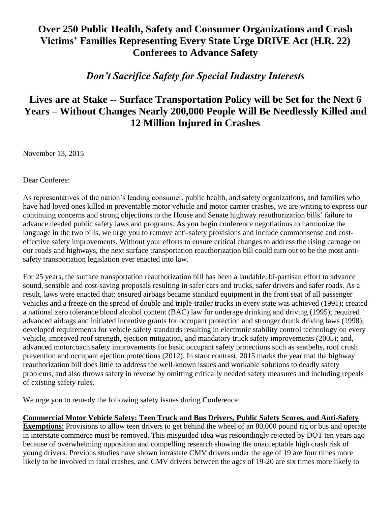## **Over 250 Public Health, Safety and Consumer Organizations and Crash Victims' Families Representing Every State Urge DRIVE Act (H.R. 22) Conferees to Advance Safety**

## *Don't Sacrifice Safety for Special Industry Interests*

## **Lives are at Stake -- Surface Transportation Policy will be Set for the Next 6 Years – Without Changes Nearly 200,000 People Will Be Needlessly Killed and 12 Million Injured in Crashes**

November 13, 2015

Dear Conferee:

As representatives of the nation's leading consumer, public health, and safety organizations, and families who have had loved ones killed in preventable motor vehicle and motor carrier crashes, we are writing to express our continuing concerns and strong objections to the House and Senate highway reauthorization bills' failure to advance needed public safety laws and programs. As you begin conference negotiations to harmonize the language in the two bills, we urge you to remove anti-safety provisions and include commonsense and costeffective safety improvements. Without your efforts to ensure critical changes to address the rising carnage on our roads and highways, the next surface transportation reauthorization bill could turn out to be the most antisafety transportation legislation ever enacted into law.

For 25 years, the surface transportation reauthorization bill has been a laudable, bi-partisan effort to advance sound, sensible and cost-saving proposals resulting in safer cars and trucks, safer drivers and safer roads. As a result, laws were enacted that: ensured airbags became standard equipment in the front seat of all passenger vehicles and a freeze on the spread of double and triple-trailer trucks in every state was achieved (1991); created a national zero tolerance blood alcohol content (BAC) law for underage drinking and driving (1995); required advanced airbags and initiated incentive grants for occupant protection and stronger drunk driving laws (1998); developed requirements for vehicle safety standards resulting in electronic stability control technology on every vehicle, improved roof strength, ejection mitigation, and mandatory truck safety improvements (2005); and, advanced motorcoach safety improvements for basic occupant safety protections such as seatbelts, roof crush prevention and occupant ejection protections (2012). In stark contrast, 2015 marks the year that the highway reauthorization bill does little to address the well-known issues and workable solutions to deadly safety problems, and also throws safety in reverse by omitting critically needed safety measures and including repeals of existing safety rules.

We urge you to remedy the following safety issues during Conference:

## **Commercial Motor Vehicle Safety: Teen Truck and Bus Drivers, Public Safety Scores, and Anti-Safety**

**Exemptions**: Provisions to allow teen drivers to get behind the wheel of an 80,000 pound rig or bus and operate in interstate commerce must be removed. This misguided idea was resoundingly rejected by DOT ten years ago because of overwhelming opposition and compelling research showing the unacceptable high crash risk of young drivers. Previous studies have shown intrastate CMV drivers under the age of 19 are four times more likely to be involved in fatal crashes, and CMV drivers between the ages of 19-20 are six times more likely to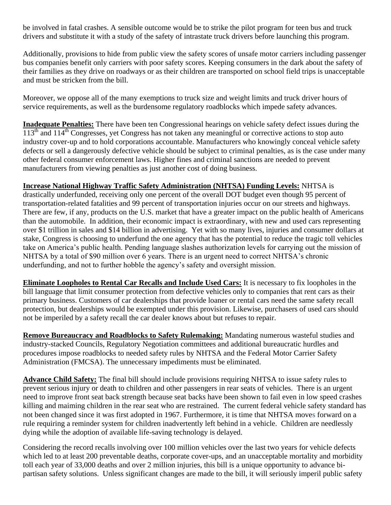be involved in fatal crashes. A sensible outcome would be to strike the pilot program for teen bus and truck drivers and substitute it with a study of the safety of intrastate truck drivers before launching this program.

Additionally, provisions to hide from public view the safety scores of unsafe motor carriers including passenger bus companies benefit only carriers with poor safety scores. Keeping consumers in the dark about the safety of their families as they drive on roadways or as their children are transported on school field trips is unacceptable and must be stricken from the bill.

Moreover, we oppose all of the many exemptions to truck size and weight limits and truck driver hours of service requirements, as well as the burdensome regulatory roadblocks which impede safety advances.

**Inadequate Penalties:** There have been ten Congressional hearings on vehicle safety defect issues during the  $113<sup>th</sup>$  and  $114<sup>th</sup>$  Congresses, yet Congress has not taken any meaningful or corrective actions to stop auto industry cover-up and to hold corporations accountable. Manufacturers who knowingly conceal vehicle safety defects or sell a dangerously defective vehicle should be subject to criminal penalties, as is the case under many other federal consumer enforcement laws. Higher fines and criminal sanctions are needed to prevent manufacturers from viewing penalties as just another cost of doing business.

**Increase National Highway Traffic Safety Administration (NHTSA) Funding Levels:** NHTSA is

drastically underfunded, receiving only one percent of the overall DOT budget even though 95 percent of transportation-related fatalities and 99 percent of transportation injuries occur on our streets and highways. There are few, if any, products on the U.S. market that have a greater impact on the public health of Americans than the automobile. In addition, their economic impact is extraordinary, with new and used cars representing over \$1 trillion in sales and \$14 billion in advertising. Yet with so many lives, injuries and consumer dollars at stake, Congress is choosing to underfund the one agency that has the potential to reduce the tragic toll vehicles take on America's public health. Pending language slashes authorization levels for carrying out the mission of NHTSA by a total of \$90 million over 6 years. There is an urgent need to correct NHTSA's chronic underfunding, and not to further hobble the agency's safety and oversight mission.

**Eliminate Loopholes to Rental Car Recalls and Include Used Cars:** It is necessary to fix loopholes in the bill language that limit consumer protection from defective vehicles only to companies that rent cars as their primary business. Customers of car dealerships that provide loaner or rental cars need the same safety recall protection, but dealerships would be exempted under this provision. Likewise, purchasers of used cars should not be imperiled by a safety recall the car dealer knows about but refuses to repair.

**Remove Bureaucracy and Roadblocks to Safety Rulemaking:** Mandating numerous wasteful studies and industry-stacked Councils, Regulatory Negotiation committees and additional bureaucratic hurdles and procedures impose roadblocks to needed safety rules by NHTSA and the Federal Motor Carrier Safety Administration (FMCSA). The unnecessary impediments must be eliminated.

**Advance Child Safety:** The final bill should include provisions requiring NHTSA to issue safety rules to prevent serious injury or death to children and other passengers in rear seats of vehicles. There is an urgent need to improve front seat back strength because seat backs have been shown to fail even in low speed crashes killing and maiming children in the rear seat who are restrained. The current federal vehicle safety standard has not been changed since it was first adopted in 1967. Furthermore, it is time that NHTSA moves forward on a rule requiring a reminder system for children inadvertently left behind in a vehicle. Children are needlessly dying while the adoption of available life-saving technology is delayed.

Considering the record recalls involving over 100 million vehicles over the last two years for vehicle defects which led to at least 200 preventable deaths, corporate cover-ups, and an unacceptable mortality and morbidity toll each year of 33,000 deaths and over 2 million injuries, this bill is a unique opportunity to advance bipartisan safety solutions. Unless significant changes are made to the bill, it will seriously imperil public safety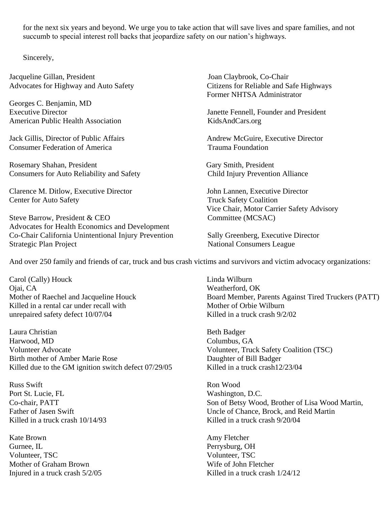for the next six years and beyond. We urge you to take action that will save lives and spare families, and not succumb to special interest roll backs that jeopardize safety on our nation's highways.

Sincerely,

Jacqueline Gillan, President Joan Claybrook, Co-Chair

Georges C. Benjamin, MD American Public Health Association [KidsAndCars.org](http://kidsandcars.org/)

Consumer Federation of America Trauma Foundation

Rosemary Shahan, President Gary Smith, President Consumers for Auto Reliability and Safety Child Injury Prevention Alliance

Clarence M. Ditlow, Executive Director John Lannen, Executive Director Center for Auto Safety **Truck Safety Coalition** 

Steve Barrow, President & CEO Committee (MCSAC) Advocates for Health Economics and Development Co-Chair California Unintentional Injury Prevention Sally Greenberg, Executive Director Strategic Plan Project National Consumers League

Advocates for Highway and Auto Safety Citizens for Reliable and Safe Highways Former NHTSA Administrator

Executive Director Janette Fennell, Founder and President

Jack Gillis, Director of Public Affairs Andrew McGuire, Executive Director

Vice Chair, Motor Carrier Safety Advisory

And over 250 family and friends of car, truck and bus crash victims and survivors and victim advocacy organizations:

Carol (Cally) Houck Linda Wilburn Ojai, CA Weatherford, OK Killed in a rental car under recall with Mother of Orbie Wilburn unrepaired safety defect 10/07/04 Killed in a truck crash 9/2/02

Laura Christian Beth Badger Harwood, MD Columbus, GA Volunteer Advocate Volunteer, Truck Safety Coalition (TSC) Birth mother of Amber Marie Rose Daughter of Bill Badger Killed due to the GM ignition switch defect 07/29/05 Killed in a truck crash12/23/04

Russ Swift **Russ Swift** Ron Wood **Ron Wood** Port St. Lucie, FL Washington, D.C. Killed in a truck crash  $10/14/93$  Killed in a truck crash  $9/20/04$ 

Kate Brown **Amy Fletcher** Gurnee, IL Perrysburg, OH Volunteer, TSC Volunteer, TSC Mother of Graham Brown Nilliam School and Mother Wife of John Fletcher

Mother of Raechel and Jacqueline Houck Board Member, Parents Against Tired Truckers (PATT)

Co-chair, PATT Son of Betsy Wood, Brother of Lisa Wood Martin, Father of Jasen Swift Uncle of Chance, Brock, and Reid Martin

Injured in a truck crash  $5/2/05$  Killed in a truck crash  $1/24/12$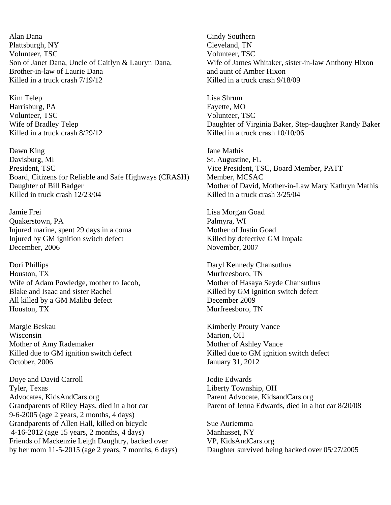Alan Dana Cindy Southern Plattsburgh, NY Cleveland, TN Volunteer, TSC Volunteer, TSC Brother-in-law of Laurie Dana and aunt of Amber Hixon Killed in a truck crash  $7/19/12$  Killed in a truck crash  $9/18/09$ 

Kim Telep Lisa Shrum Harrisburg, PA Fayette, MO Volunteer, TSC Volunteer, TSC

Dawn King Jane Mathis Davisburg, MI St. Augustine, FL President, TSC Vice President, TSC, Board Member, PATT Board, Citizens for Reliable and Safe Highways (CRASH) Member, MCSAC Daughter of Bill Badger Mother of David, Mother-in-Law Mary Kathryn Mathis Killed in truck crash 12/23/04 Killed in a truck crash 3/25/04

Jamie Frei Lisa Morgan Goad Quakerstown, PA Palmyra, WI Injured marine, spent 29 days in a coma Mother of Justin Goad Injured by GM ignition switch defect Killed by defective GM Impala December, 2006 November, 2007

Dori Phillips Daryl Kennedy Chansuthus Houston, TX Murfreesboro, TN Wife of Adam Powledge, mother to Jacob, Mother of Hasaya Seyde Chansuthus Blake and Isaac and sister Rachel Killed by GM ignition switch defect All killed by a GM Malibu defect December 2009<br>
Houston, TX Murfreesboro. T

Margie Beskau Kimberly Prouty Vance Wisconsin Marion, OH Mother of Amy Rademaker Mother of Ashley Vance October, 2006 January 31, 2012

Doye and David Carroll Jodie Edwards Tyler, Texas Liberty Township, OH Advocates, KidsAndCars.org Parent Advocate, KidsandCars.org Grandparents of Riley Hays, died in a hot car Parent of Jenna Edwards, died in a hot car 8/20/08 9-6-2005 (age 2 years, 2 months, 4 days) Grandparents of Allen Hall, killed on bicycle Sue Auriemma 4-16-2012 (age 15 years, 2 months, 4 days) Manhasset, NY Friends of Mackenzie Leigh Daughtry, backed over VP, KidsAndCars.org by her mom 11-5-2015 (age 2 years, 7 months, 6 days) Daughter survived being backed over 05/27/2005

Son of Janet Dana, Uncle of Caitlyn & Lauryn Dana, Wife of James Whitaker, sister-in-law Anthony Hixon

Wife of Bradley Telep **Daughter of Virginia Baker**, Step-daughter Randy Baker Killed in a truck crash  $\frac{8}{29/12}$  Killed in a truck crash  $\frac{10}{10/06}$ 

Murfreesboro, TN

Killed due to GM ignition switch defect Killed due to GM ignition switch defect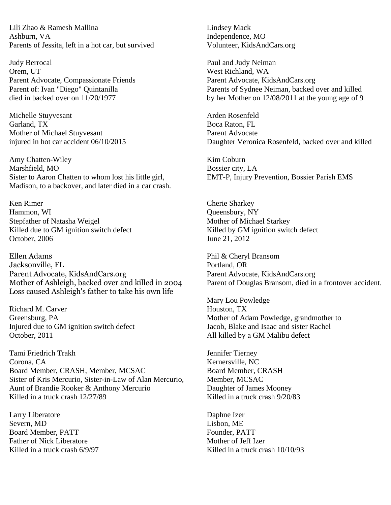Lili Zhao & Ramesh Mallina Lindsey Mack Ashburn, VA **Independence**, MO Parents of Jessita, left in a hot car, but survived Volunteer, KidsAndCars.org

Judy Berrocal Paul and Judy Neiman Orem, UT West Richland, WA Parent Advocate, Compassionate Friends Parent Advocate, [KidsAndCars.org](http://kidsandcars.org/)

Michelle Stuyvesant **Arden** Rosenfeld Garland, TX Boca Raton, FL Mother of Michael Stuyvesant **Parent Advocate** Parent Advocate

Amy Chatten-Wiley **Kim Coburn** Marshfield, MO Bossier city, LA Sister to Aaron Chatten to whom lost his little girl, EMT-P, Injury Prevention, Bossier Parish EMS Madison, to a backover, and later died in a car crash.

Ken Rimer Cherie Sharkey Hammon, WI Queensbury, NY Stepfather of Natasha Weigel Mother of Michael Starkey Killed due to GM ignition switch defect Killed by GM ignition switch defect October, 2006 June 21, 2012

Ellen Adams Phil & Cheryl Bransom Jacksonville, FL Portland, OR Parent Advocate, KidsAndCars.org Parent Advocate, KidsAndCars.org Loss caused Ashleigh's father to take his own life

Richard M. Carver **Houston, TX** Injured due to GM ignition switch defect October, 2011 **All killed by a GM Malibu defect** 

Tami Friedrich Trakh Jennifer Tierney Corona, CA Kernersville, NC Board Member, CRASH, Member, MCSAC Board Member, CRASH Sister of Kris Mercurio, Sister-in-Law of Alan Mercurio, Member, MCSAC Aunt of Brandie Rooker & Anthony Mercurio Daughter of James Mooney<br>Killed in a truck crash 12/27/89 Killed in a truck crash 9/20/83 Killed in a truck crash  $12/27/89$ 

Larry Liberatore Daphne Izer Severn, MD Lisbon, ME Board Member, PATT Founder, PATT Father of Nick Liberatore **Mother of Setup Islams** Mother of Jeff Izer

Parent of: Ivan "Diego" Quintanilla Parents of Sydnee Neiman, backed over and killed died in backed over on 11/20/1977 by her Mother on 12/08/2011 at the young age of 9

injured in hot car accident 06/10/2015 Daughter Veronica Rosenfeld, backed over and killed

Mother of Ashleigh, backed over and killed in 2004 Parent of Douglas Bransom, died in a frontover accident.

Mary Lou Powledge Greensburg, PA<br>
Iniured due to GM ignition switch defect<br>
Iacob. Blake and Isaac and sister Rachel

Killed in a truck crash 6/9/97 Killed in a truck crash 10/10/93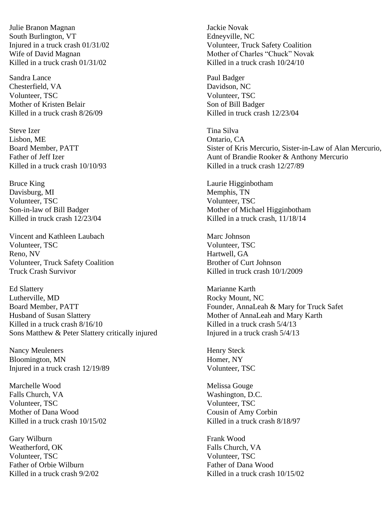Julie Branon Magnan Jackie Novak South Burlington, VT Edneyville, NC Killed in a truck crash  $01/31/02$  Killed in a truck crash  $10/24/10$ 

Sandra Lance **Paul Badger** Paul Badger Chesterfield, VA Davidson, NC Volunteer, TSC Volunteer, TSC Mother of Kristen Belair North Communication of Bill Badger Killed in a truck crash  $8/26/09$  Killed in truck crash  $12/23/04$ 

Steve Izer Tina Silva Lisbon, ME **Ontario, CA** 

Bruce King **Laurie Higginbotham** Davisburg, MI Memphis, TN Volunteer, TSC Volunteer, TSC

Vincent and Kathleen Laubach Marc Johnson Volunteer, TSC Volunteer, TSC Reno, NV Hartwell, GA Volunteer, Truck Safety Coalition Brother of Curt Johnson Truck Crash Survivor Killed in truck crash 10/1/2009

Ed Slattery Marianne Karth Lutherville, MD Rocky Mount, NC Board Member, PATT Founder, AnnaLeah & Mary for Truck Safet Husband of Susan Slattery Mother of AnnaLeah and Mary Karth Killed in a truck crash  $8/16/10$  Killed in a truck crash  $5/4/13$ Sons Matthew & Peter Slattery critically injured Injured Injured in a truck crash 5/4/13

Nancy Meuleners Henry Steck Bloomington, MN Homer, NY Injured in a truck crash 12/19/89 Volunteer, TSC

Marchelle Wood Melissa Gouge Falls Church, VA Washington, D.C. Volunteer, TSC Volunteer, TSC Mother of Dana Wood Cousin of Amy Corbin Killed in a truck crash  $10/15/02$  Killed in a truck crash  $8/18/97$ 

Gary Wilburn Frank Wood Weatherford, OK Falls Church, VA Volunteer, TSC Volunteer, TSC Father of Orbie Wilburn Father of Dana Wood

Injured in a truck crash 01/31/02 Volunteer, Truck Safety Coalition Wife of David Magnan Mother of Charles "Chuck" Novak

Board Member, PATT Sister of Kris Mercurio, Sister-in-Law of Alan Mercurio, Father of Jeff Izer Aunt of Brandie Rooker & Anthony Mercurio Killed in a truck crash 10/10/93 Killed in a truck crash 12/27/89

Son-in-law of Bill Badger Mother of Michael Higginbotham Killed in truck crash  $12/23/04$  Killed in a truck crash,  $11/18/14$ 

Killed in a truck crash  $9/2/02$  Killed in a truck crash  $10/15/02$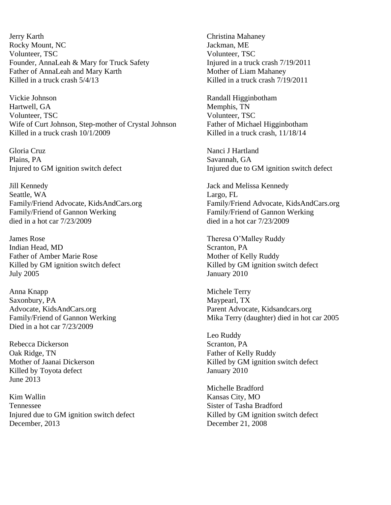Jerry Karth Christina Mahaney Rocky Mount, NC Jackman, ME Volunteer, TSC Volunteer, TSC Founder, AnnaLeah & Mary for Truck Safety Injured in a truck crash  $7/19/2011$ Father of AnnaLeah and Mary Karth Mother of Liam Mahaney Killed in a truck crash  $5/4/13$  Killed in a truck crash  $7/19/2011$ 

Vickie Johnson Randall Higginbotham Hartwell, GA and the contract of the Memphis, TN Volunteer, TSC Volunteer, TSC Wife of Curt Johnson, Step-mother of Crystal Johnson Father of Michael Higginbotham Killed in a truck crash  $10/1/2009$  Killed in a truck crash,  $11/18/14$ 

Gloria Cruz Nanci J Hartland Plains, PA Savannah, GA

Jill Kennedy Jack and Melissa Kennedy Seattle, WA Largo, FL Family/Friend of Gannon Werking Family/Friend of Gannon Werking died in a hot car 7/23/2009 died in a hot car 7/23/2009

James Rose Theresa O'Malley Ruddy Indian Head, MD Scranton, PA Father of Amber Marie Rose Mother of Kelly Ruddy Killed by GM ignition switch defect Killed by GM ignition switch defect July 2005 January 2010

Anna Knapp Michele Terry Saxonbury, PA Maypearl, TX Advocate, KidsAndCars.org Parent Advocate, [Kidsandcars.org](http://kidsandcars.org/) Died in a hot car 7/23/2009

Rebecca Dickerson Scranton, PA Oak Ridge, TN Father of Kelly Ruddy Killed by Toyota defect January 2010 June 2013

Kim Wallin Kansas City, MO Tennessee Sister of Tasha Bradford Injured due to GM ignition switch defect Killed by GM ignition switch defect December, 2013 December 21, 2008

Injured to GM ignition switch defect Injured due to GM ignition switch defect

Family/Friend Advocate, KidsAndCars.org Family/Friend Advocate, KidsAndCars.org

Family/Friend of Gannon Werking Mika Terry (daughter) died in hot car 2005

Leo Ruddy Mother of Jaanai Dickerson Killed by GM ignition switch defect

Michelle Bradford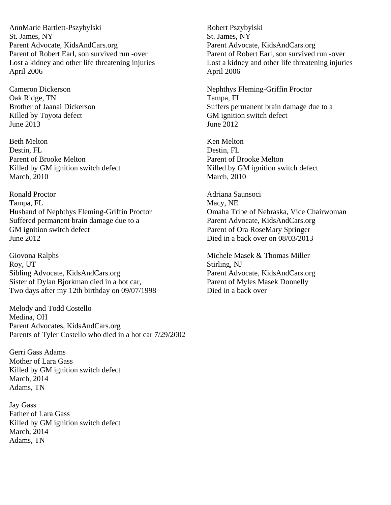AnnMarie Bartlett-Pszybylski Robert Pszybylski St. James, NY St. James, NY Parent Advocate, [KidsAndCars.org](http://kidsandcars.org/) Parent Advocate, [KidsAndCars.org](http://kidsandcars.org/) Parent of Robert Earl, son survived run -over Parent of Robert Earl, son survived run -over April 2006 April 2006

Oak Ridge, TN Tampa, FL Killed by Toyota defect GM ignition switch defect June 2013 June 2012

Beth Melton **Ken Melton** Ken Melton **Ken Melton** Destin, FL Destin, FL Parent of Brooke Melton **Parent of Brooke Melton** Killed by GM ignition switch defect Killed by GM ignition switch defect March, 2010 March, 2010

Ronald Proctor **Adriana Saunsoci** Adriana Saunsoci Tampa, FL Macy, NE Husband of Nephthys Fleming-Griffin Proctor Omaha Tribe of Nebraska, Vice Chairwoman Suffered permanent brain damage due to a Parent Advocate, [KidsAndCars.org](http://kidsandcars.org/) GM ignition switch defect Parent of Ora RoseMary Springer June 2012 Died in a back over on 08/03/2013

Giovona Ralphs Michele Masek & Thomas Miller Roy, UT Stirling, NJ Sibling Advocate, [KidsAndCars.org](http://kidsandcars.org/) Parent Advocate, KidsAndCars.org Sister of Dylan Bjorkman died in a hot car, Parent of Myles Masek Donnelly Two days after my 12th birthday on 09/07/1998 Died in a back over

Melody and Todd Costello Medina, OH Parent Advocates, KidsAndCars.org Parents of Tyler Costello who died in a hot car 7/29/2002

Gerri Gass Adams Mother of Lara Gass Killed by GM ignition switch defect March, 2014 Adams, TN

Jay Gass Father of Lara Gass Killed by GM ignition switch defect March, 2014 Adams, TN

Lost a kidney and other life threatening injuries Lost a kidney and other life threatening injuries

Cameron Dickerson Nephthys Fleming-Griffin Proctor Brother of Jaanai Dickerson Suffers permanent brain damage due to a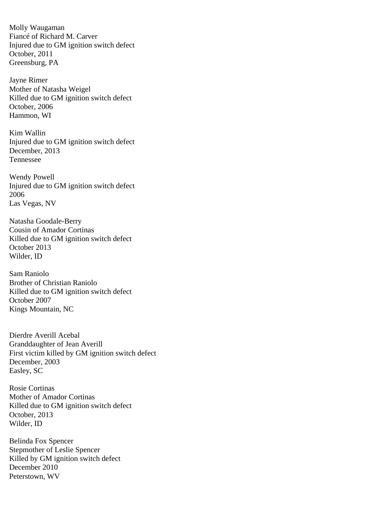Molly Waugaman Fiancé of Richard M. Carver Injured due to GM ignition switch defect October, 2011 Greensburg, PA

Jayne Rimer Mother of Natasha Weigel Killed due to GM ignition switch defect October, 2006 Hammon, WI

Kim Wallin Injured due to GM ignition switch defect December, 2013 Tennessee

Wendy Powell Injured due to GM ignition switch defect 2006 Las Vegas, NV

Natasha Goodale-Berry Cousin of Amador Cortinas Killed due to GM ignition switch defect October 2013 Wilder, ID

Sam Raniolo Brother of Christian Raniolo Killed due to GM ignition switch defect October 2007 Kings Mountain, NC

Dierdre Averill Acebal Granddaughter of Jean Averill First victim killed by GM ignition switch defect December, 2003 Easley, SC

Rosie Cortinas Mother of Amador Cortinas Killed due to GM ignition switch defect October, 2013 Wilder, ID

Belinda Fox Spencer Stepmother of Leslie Spencer Killed by GM ignition switch defect December 2010 Peterstown, WV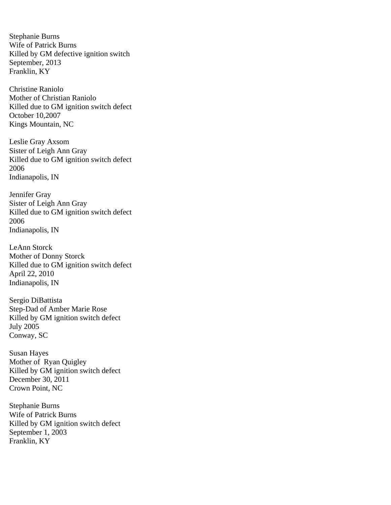Stephanie Burns Wife of Patrick Burns Killed by GM defective ignition switch September, 2013 Franklin, KY

Christine Raniolo Mother of Christian Raniolo Killed due to GM ignition switch defect October 10,2007 Kings Mountain, NC

Leslie Gray Axsom Sister of Leigh Ann Gray Killed due to GM ignition switch defect 2006 Indianapolis, IN

Jennifer Gray Sister of Leigh Ann Gray Killed due to GM ignition switch defect 2006 Indianapolis, IN

LeAnn Storck Mother of Donny Storck Killed due to GM ignition switch defect April 22, 2010 Indianapolis, IN

Sergio DiBattista Step-Dad of Amber Marie Rose Killed by GM ignition switch defect July 2005 Conway, SC

Susan Hayes Mother of Ryan Quigley Killed by GM ignition switch defect December 30, 2011 Crown Point, NC

Stephanie Burns Wife of Patrick Burns Killed by GM ignition switch defect September 1, 2003 Franklin, KY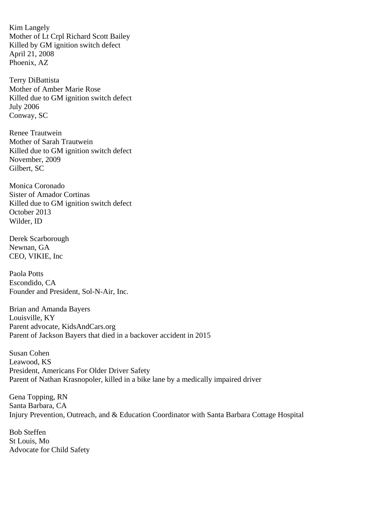Kim Langely Mother of Lt Crpl Richard Scott Bailey Killed by GM ignition switch defect April 21, 2008 Phoenix, AZ

Terry DiBattista Mother of Amber Marie Rose Killed due to GM ignition switch defect July 2006 Conway, SC

Renee Trautwein Mother of Sarah Trautwein Killed due to GM ignition switch defect November, 2009 Gilbert, SC

Monica Coronado Sister of Amador Cortinas Killed due to GM ignition switch defect October 2013 Wilder, ID

Derek Scarborough Newnan, GA CEO, VIKIE, Inc

Paola Potts Escondido, CA Founder and President, Sol-N-Air, Inc.

Brian and Amanda Bayers Louisville, KY Parent advocate, KidsAndCars.org Parent of Jackson Bayers that died in a backover accident in 2015

Susan Cohen Leawood, KS President, Americans For Older Driver Safety Parent of Nathan Krasnopoler, killed in a bike lane by a medically impaired driver

Gena Topping, RN Santa Barbara, CA Injury Prevention, Outreach, and & Education Coordinator with Santa Barbara Cottage Hospital

Bob Steffen St Louis, Mo Advocate for Child Safety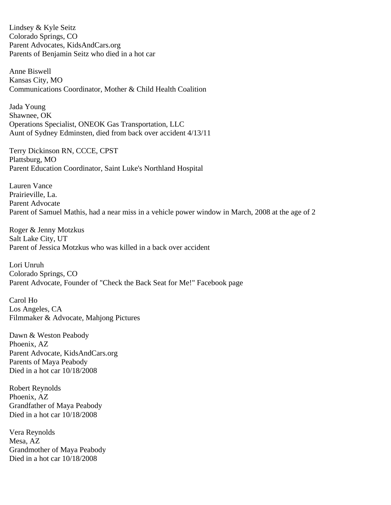Lindsey & Kyle Seitz Colorado Springs, CO Parent Advocates, KidsAndCars.org Parents of Benjamin Seitz who died in a hot car

Anne Biswell Kansas City, MO Communications Coordinator, Mother & Child Health Coalition

Jada Young Shawnee, OK Operations Specialist, ONEOK Gas Transportation, LLC Aunt of Sydney Edminsten, died from back over accident 4/13/11

Terry Dickinson RN, CCCE, CPST Plattsburg, MO Parent Education Coordinator, Saint Luke's Northland Hospital

Lauren Vance Prairieville, La. Parent Advocate Parent of Samuel Mathis, had a near miss in a vehicle power window in March, 2008 at the age of 2

Roger & Jenny Motzkus Salt Lake City, UT Parent of Jessica Motzkus who was killed in a back over accident

Lori Unruh Colorado Springs, CO Parent Advocate, Founder of "Check the Back Seat for Me!" Facebook page

Carol Ho Los Angeles, CA Filmmaker & Advocate, Mahjong Pictures

Dawn & Weston Peabody Phoenix, AZ Parent Advocate, KidsAndCars.org Parents of Maya Peabody Died in a hot car 10/18/2008

Robert Reynolds Phoenix, AZ Grandfather of Maya Peabody Died in a hot car 10/18/2008

Vera Reynolds Mesa, AZ Grandmother of Maya Peabody Died in a hot car 10/18/2008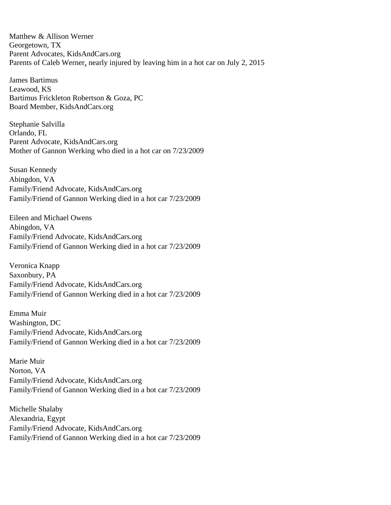Matthew & Allison Werner Georgetown, TX Parent Advocates, [KidsAndCars.org](http://kidsandcars.org/) Parents of Caleb Werner, nearly injured by leaving him in a hot car on July 2, 2015

James Bartimus Leawood, KS Bartimus Frickleton Robertson & Goza, PC Board Member, KidsAndCars.org

Stephanie Salvilla Orlando, FL Parent Advocate, KidsAndCars.org Mother of Gannon Werking who died in a hot car on 7/23/2009

Susan Kennedy Abingdon, VA Family/Friend Advocate, KidsAndCars.org Family/Friend of Gannon Werking died in a hot car 7/23/2009

Eileen and Michael Owens Abingdon, VA Family/Friend Advocate, KidsAndCars.org Family/Friend of Gannon Werking died in a hot car 7/23/2009

Veronica Knapp Saxonbury, PA Family/Friend Advocate, KidsAndCars.org Family/Friend of Gannon Werking died in a hot car 7/23/2009

Emma Muir Washington, DC Family/Friend Advocate, KidsAndCars.org Family/Friend of Gannon Werking died in a hot car 7/23/2009

Marie Muir Norton, VA Family/Friend Advocate, KidsAndCars.org Family/Friend of Gannon Werking died in a hot car 7/23/2009

Michelle Shalaby Alexandria, Egypt Family/Friend Advocate, KidsAndCars.org Family/Friend of Gannon Werking died in a hot car 7/23/2009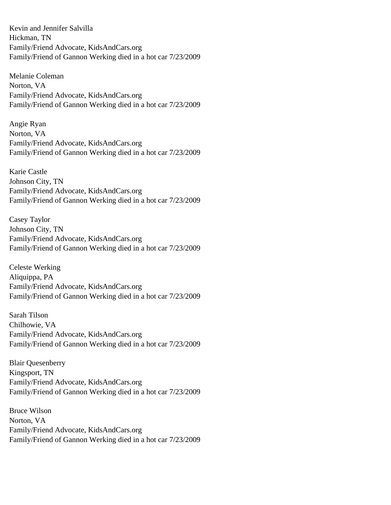Kevin and Jennifer Salvilla Hickman, TN Family/Friend Advocate, KidsAndCars.org Family/Friend of Gannon Werking died in a hot car 7/23/2009

Melanie Coleman Norton, VA Family/Friend Advocate, KidsAndCars.org Family/Friend of Gannon Werking died in a hot car 7/23/2009

Angie Ryan Norton, VA Family/Friend Advocate, KidsAndCars.org Family/Friend of Gannon Werking died in a hot car 7/23/2009

Karie Castle Johnson City, TN Family/Friend Advocate, KidsAndCars.org Family/Friend of Gannon Werking died in a hot car 7/23/2009

Casey Taylor Johnson City, TN Family/Friend Advocate, KidsAndCars.org Family/Friend of Gannon Werking died in a hot car 7/23/2009

Celeste Werking Aliquippa, PA Family/Friend Advocate, KidsAndCars.org Family/Friend of Gannon Werking died in a hot car 7/23/2009

Sarah Tilson Chilhowie, VA Family/Friend Advocate, KidsAndCars.org Family/Friend of Gannon Werking died in a hot car 7/23/2009

Blair Quesenberry Kingsport, TN Family/Friend Advocate, KidsAndCars.org Family/Friend of Gannon Werking died in a hot car 7/23/2009

Bruce Wilson Norton, VA Family/Friend Advocate, KidsAndCars.org Family/Friend of Gannon Werking died in a hot car 7/23/2009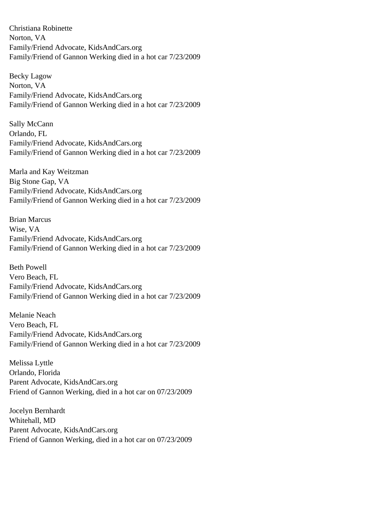Christiana Robinette Norton, VA Family/Friend Advocate, KidsAndCars.org Family/Friend of Gannon Werking died in a hot car 7/23/2009

Becky Lagow Norton, VA Family/Friend Advocate, KidsAndCars.org Family/Friend of Gannon Werking died in a hot car 7/23/2009

Sally McCann Orlando, FL Family/Friend Advocate, KidsAndCars.org Family/Friend of Gannon Werking died in a hot car 7/23/2009

Marla and Kay Weitzman Big Stone Gap, VA Family/Friend Advocate, KidsAndCars.org Family/Friend of Gannon Werking died in a hot car 7/23/2009

Brian Marcus Wise, VA Family/Friend Advocate, KidsAndCars.org Family/Friend of Gannon Werking died in a hot car 7/23/2009

Beth Powell Vero Beach, FL Family/Friend Advocate, KidsAndCars.org Family/Friend of Gannon Werking died in a hot car 7/23/2009

Melanie Neach Vero Beach, FL Family/Friend Advocate, KidsAndCars.org Family/Friend of Gannon Werking died in a hot car 7/23/2009

Melissa Lyttle Orlando, Florida Parent Advocate, KidsAndCars.org Friend of Gannon Werking, died in a hot car on 07/23/2009

Jocelyn Bernhardt Whitehall, MD Parent Advocate, KidsAndCars.org Friend of Gannon Werking, died in a hot car on 07/23/2009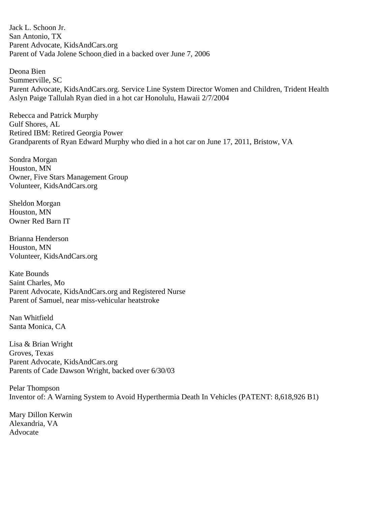Jack L. Schoon Jr. San Antonio, TX Parent Advocate, KidsAndCars.org Parent of Vada Jolene Schoon died in a backed over June 7, 2006

Deona Bien Summerville, SC Parent Advocate, KidsAndCars.org. Service Line System Director Women and Children, Trident Health Aslyn Paige Tallulah Ryan died in a hot car Honolulu, Hawaii 2/7/2004

Rebecca and Patrick Murphy Gulf Shores, AL Retired IBM: Retired Georgia Power Grandparents of Ryan Edward Murphy who died in a hot car on June 17, 2011, Bristow, VA

Sondra Morgan Houston, MN Owner, Five Stars Management Group Volunteer, KidsAndCars.org

Sheldon Morgan Houston, MN Owner Red Barn IT

Brianna Henderson Houston, MN Volunteer, KidsAndCars.org

Kate Bounds Saint Charles, Mo Parent Advocate, KidsAndCars.org and Registered Nurse Parent of Samuel, near miss-vehicular heatstroke

Nan Whitfield Santa Monica, CA

Lisa & Brian Wright Groves, Texas Parent Advocate, KidsAndCars.org Parents of Cade Dawson Wright, backed over 6/30/03

Pelar Thompson Inventor of: A Warning System to Avoid Hyperthermia Death In Vehicles (PATENT: 8,618,926 B1)

Mary Dillon Kerwin Alexandria, VA Advocate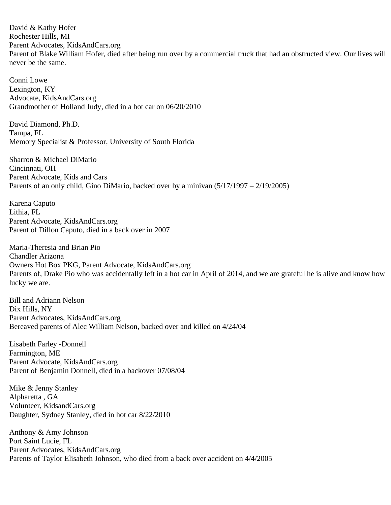David & Kathy Hofer Rochester Hills, MI Parent Advocates, KidsAndCars.org Parent of Blake William Hofer, died after being run over by a commercial truck that had an obstructed view. Our lives will never be the same.

Conni Lowe Lexington, KY Advocate, KidsAndCars.org Grandmother of Holland Judy, died in a hot car on 06/20/2010

David Diamond, Ph.D. Tampa, FL Memory Specialist & Professor, University of South Florida

Sharron & Michael DiMario Cincinnati, OH Parent Advocate, Kids and Cars Parents of an only child, Gino DiMario, backed over by a minivan (5/17/1997 – 2/19/2005)

Karena Caputo Lithia, FL Parent Advocate, [KidsAndCars.org](http://kidsandcars.org/) Parent of Dillon Caputo, died in a back over in 2007

Maria-Theresia and Brian Pio Chandler Arizona Owners Hot Box PKG, Parent Advocate, KidsAndCars.org Parents of, Drake Pio who was accidentally left in a hot car in April of 2014, and we are grateful he is alive and know how lucky we are.

Bill and Adriann Nelson Dix Hills, NY Parent Advocates, KidsAndCars.org Bereaved parents of Alec William Nelson, backed over and killed on 4/24/04

Lisabeth Farley -Donnell Farmington, ME Parent Advocate, KidsAndCars.org Parent of Benjamin Donnell, died in a backover 07/08/04

Mike & Jenny Stanley Alpharetta , GA Volunteer, KidsandCars.org Daughter, Sydney Stanley, died in hot car 8/22/2010

Anthony & Amy Johnson Port Saint Lucie, FL Parent Advocates, KidsAndCars.org Parents of Taylor Elisabeth Johnson, who died from a back over accident on 4/4/2005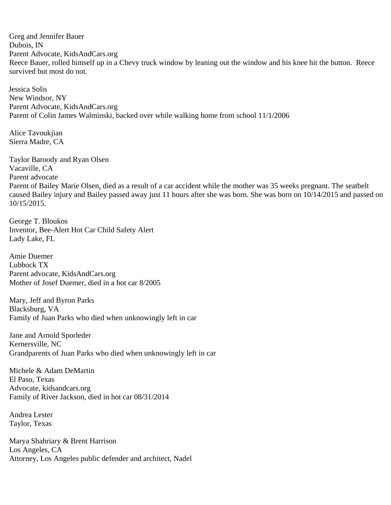Greg and Jennifer Bauer Dubois, IN Parent Advocate, KidsAndCars.org Reece Bauer, rolled himself up in a Chevy truck window by leaning out the window and his knee hit the button. Reece survived but most do not.

Jessica Solis New Windsor, NY Parent Advocate, KidsAndCars.org Parent of Colin James Walminski, backed over while walking home from school 11/1/2006

Alice Tavoukjian Sierra Madre, CA

Taylor Baroody and Ryan Olsen Vacaville, CA Parent advocate Parent of Bailey Marie Olsen, died as a result of a car accident while the mother was 35 weeks pregnant. The seatbelt caused Bailey injury and Bailey passed away just 11 hours after she was born. She was born on 10/14/2015 and passed on 10/15/2015.

George T. Bloukos Inventor, Bee-Alert Hot Car Child Safety Alert Lady Lake, FL

Amie Duemer Lubbock TX Parent advocate, KidsAndCars.org Mother of Josef Duemer, died in a hot car 8/2005

Mary, Jeff and Byron Parks Blacksburg, VA Family of Juan Parks who died when unknowingly left in car

Jane and Arnold Sporleder Kernersville, NC Grandparents of Juan Parks who died when unknowingly left in car

Michele & Adam DeMartin El Paso, Texas Advocate, [kidsandcars.org](http://kidsandcars.org/) Family of River Jackson, died in hot car 08/31/2014

Andrea Lester Taylor, Texas

Marya Shahriary & Brent Harrison Los Angeles, CA Attorney, Los Angeles public defender and architect, Nadel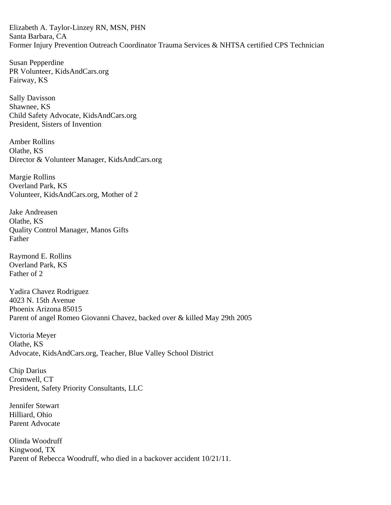Elizabeth A. Taylor-Linzey RN, MSN, PHN Santa Barbara, CA Former Injury Prevention Outreach Coordinator Trauma Services & NHTSA certified CPS Technician

Susan Pepperdine PR Volunteer, [KidsAndCars.org](http://kidsandcars.org/) Fairway, KS

Sally Davisson Shawnee, KS Child Safety Advocate, KidsAndCars.org President, Sisters of Invention

Amber Rollins Olathe, KS Director & Volunteer Manager, KidsAndCars.org

Margie Rollins Overland Park, KS Volunteer, KidsAndCars.org, Mother of 2

Jake Andreasen Olathe, KS Quality Control Manager, Manos Gifts Father

Raymond E. Rollins Overland Park, KS Father of 2

Yadira Chavez Rodriguez 4023 N. 15th Avenue Phoenix Arizona 85015 Parent of angel Romeo Giovanni Chavez, backed over & killed May 29th 2005

Victoria Meyer Olathe, KS Advocate, KidsAndCars.org, Teacher, Blue Valley School District

Chip Darius Cromwell, CT President, Safety Priority Consultants, LLC

Jennifer Stewart Hilliard, Ohio Parent Advocate

Olinda Woodruff Kingwood, TX Parent of Rebecca Woodruff, who died in a backover accident 10/21/11.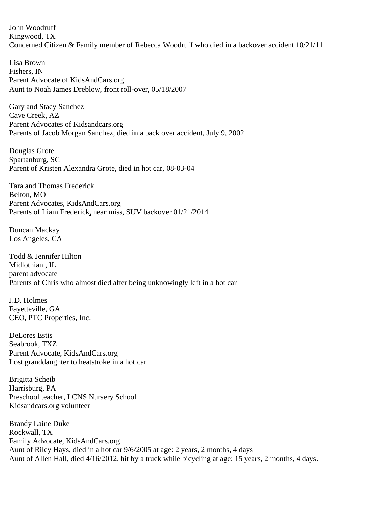John Woodruff Kingwood, TX Concerned Citizen & Family member of Rebecca Woodruff who died in a backover accident 10/21/11

Lisa Brown Fishers, IN Parent Advocate of KidsAndCars.org Aunt to Noah James Dreblow, front roll-over, 05/18/2007

Gary and Stacy Sanchez Cave Creek, AZ Parent Advocates of Kidsandcars.org Parents of Jacob Morgan Sanchez, died in a back over accident, July 9, 2002

Douglas Grote Spartanburg, SC Parent of Kristen Alexandra Grote, died in hot car, 08-03-04

Tara and Thomas Frederick Belton, MO Parent Advocates, KidsAndCars.org Parents of Liam Frederick, near miss, SUV backover 01/21/2014

Duncan Mackay Los Angeles, CA

Todd & Jennifer Hilton Midlothian , IL parent advocate Parents of Chris who almost died after being unknowingly left in a hot car

J.D. Holmes Fayetteville, GA CEO, PTC Properties, Inc.

DeLores Estis Seabrook, TXZ Parent Advocate, KidsAndCars.org Lost granddaughter to heatstroke in a hot car

Brigitta Scheib Harrisburg, PA Preschool teacher, LCNS Nursery School Kidsandcars.org volunteer

Brandy Laine Duke Rockwall, TX Family Advocate, KidsAndCars.org Aunt of Riley Hays, died in a hot car 9/6/2005 at age: 2 years, 2 months, 4 days Aunt of Allen Hall, died 4/16/2012, hit by a truck while bicycling at age: 15 years, 2 months, 4 days.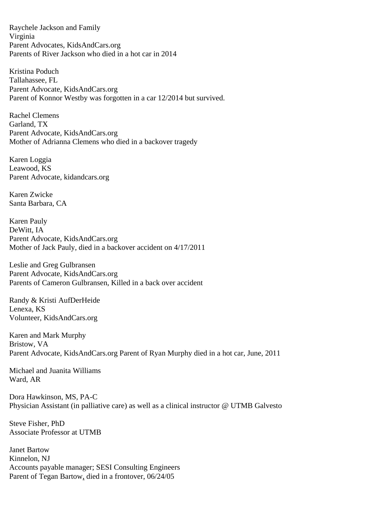Raychele Jackson and Family Virginia Parent Advocates, KidsAndCars.org Parents of River Jackson who died in a hot car in 2014

Kristina Poduch Tallahassee, FL Parent Advocate, KidsAndCars.org Parent of Konnor Westby was forgotten in a car 12/2014 but survived.

Rachel Clemens Garland, TX Parent Advocate, KidsAndCars.org Mother of Adrianna Clemens who died in a backover tragedy

Karen Loggia Leawood, KS Parent Advocate, [kidandcars.org](http://kidandcars.org/)

Karen Zwicke Santa Barbara, CA

Karen Pauly DeWitt, IA Parent Advocate, KidsAndCars.org Mother of Jack Pauly, died in a backover accident on 4/17/2011

Leslie and Greg Gulbransen Parent Advocate, KidsAndCars.org Parents of Cameron Gulbransen, Killed in a back over accident

Randy & Kristi AufDerHeide Lenexa, KS Volunteer, KidsAndCars.org

Karen and Mark Murphy Bristow, VA Parent Advocate, KidsAndCars.org Parent of Ryan Murphy died in a hot car, June, 2011

Michael and Juanita Williams Ward, AR

Dora Hawkinson, MS, PA-C Physician Assistant (in palliative care) as well as a clinical instructor @ UTMB Galvesto

Steve Fisher, PhD Associate Professor at UTMB

Janet Bartow Kinnelon, NJ Accounts payable manager; SESI Consulting Engineers Parent of Tegan Bartow, died in a frontover, 06/24/05